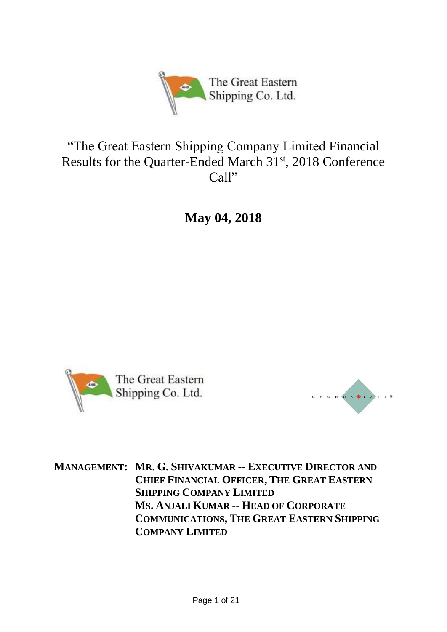

# "The Great Eastern Shipping Company Limited Financial Results for the Quarter-Ended March 31<sup>st</sup>, 2018 Conference Call"

**May 04, 2018**





**MANAGEMENT: MR. G. SHIVAKUMAR -- EXECUTIVE DIRECTOR AND CHIEF FINANCIAL OFFICER, THE GREAT EASTERN SHIPPING COMPANY LIMITED MS. ANJALI KUMAR -- HEAD OF CORPORATE COMMUNICATIONS, THE GREAT EASTERN SHIPPING COMPANY LIMITED**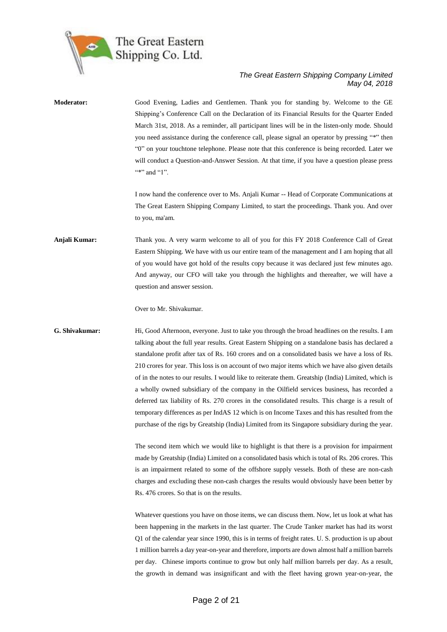

| Moderator:     | Good Evening, Ladies and Gentlemen. Thank you for standing by. Welcome to the GE<br>Shipping's Conference Call on the Declaration of its Financial Results for the Quarter Ended<br>March 31st, 2018. As a reminder, all participant lines will be in the listen-only mode. Should<br>you need assistance during the conference call, please signal an operator by pressing "*" then<br>"O" on your touchtone telephone. Please note that this conference is being recorded. Later we<br>will conduct a Question-and-Answer Session. At that time, if you have a question please press<br>"*" and "1".                                                                                                                                                                                                                                                                                                                   |
|----------------|--------------------------------------------------------------------------------------------------------------------------------------------------------------------------------------------------------------------------------------------------------------------------------------------------------------------------------------------------------------------------------------------------------------------------------------------------------------------------------------------------------------------------------------------------------------------------------------------------------------------------------------------------------------------------------------------------------------------------------------------------------------------------------------------------------------------------------------------------------------------------------------------------------------------------|
|                | I now hand the conference over to Ms. Anjali Kumar -- Head of Corporate Communications at<br>The Great Eastern Shipping Company Limited, to start the proceedings. Thank you. And over<br>to you, ma'am.                                                                                                                                                                                                                                                                                                                                                                                                                                                                                                                                                                                                                                                                                                                 |
| Anjali Kumar:  | Thank you. A very warm welcome to all of you for this FY 2018 Conference Call of Great<br>Eastern Shipping. We have with us our entire team of the management and I am hoping that all<br>of you would have got hold of the results copy because it was declared just few minutes ago.<br>And anyway, our CFO will take you through the highlights and thereafter, we will have a<br>question and answer session.                                                                                                                                                                                                                                                                                                                                                                                                                                                                                                        |
|                | Over to Mr. Shivakumar.                                                                                                                                                                                                                                                                                                                                                                                                                                                                                                                                                                                                                                                                                                                                                                                                                                                                                                  |
| G. Shivakumar: | Hi, Good Afternoon, everyone. Just to take you through the broad headlines on the results. I am<br>talking about the full year results. Great Eastern Shipping on a standalone basis has declared a<br>standalone profit after tax of Rs. 160 crores and on a consolidated basis we have a loss of Rs.<br>210 crores for year. This loss is on account of two major items which we have also given details<br>of in the notes to our results. I would like to reiterate them. Greatship (India) Limited, which is<br>a wholly owned subsidiary of the company in the Oilfield services business, has recorded a<br>deferred tax liability of Rs. 270 crores in the consolidated results. This charge is a result of<br>temporary differences as per IndAS 12 which is on Income Taxes and this has resulted from the<br>purchase of the rigs by Greatship (India) Limited from its Singapore subsidiary during the year. |
|                | The second item which we would like to highlight is that there is a provision for impairment<br>made by Greatship (India) Limited on a consolidated basis which is total of Rs. 206 crores. This<br>is an impairment related to some of the offshore supply vessels. Both of these are non-cash<br>charges and excluding these non-cash charges the results would obviously have been better by<br>Rs. 476 crores. So that is on the results.                                                                                                                                                                                                                                                                                                                                                                                                                                                                            |
|                | Whatever questions you have on those items, we can discuss them. Now, let us look at what has<br>been happening in the markets in the last quarter. The Crude Tanker market has had its worst<br>Q1 of the calendar year since 1990, this is in terms of freight rates. U. S. production is up about<br>1 million barrels a day year-on-year and therefore, imports are down almost half a million barrels<br>per day. Chinese imports continue to grow but only half million barrels per day. As a result,                                                                                                                                                                                                                                                                                                                                                                                                              |

the growth in demand was insignificant and with the fleet having grown year-on-year, the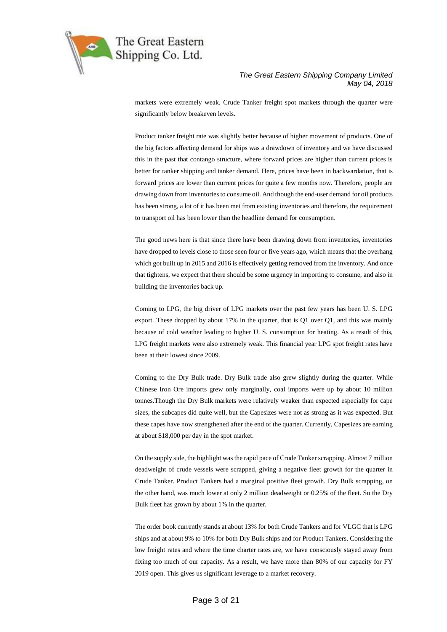

markets were extremely weak. Crude Tanker freight spot markets through the quarter were significantly below breakeven levels.

Product tanker freight rate was slightly better because of higher movement of products. One of the big factors affecting demand for ships was a drawdown of inventory and we have discussed this in the past that contango structure, where forward prices are higher than current prices is better for tanker shipping and tanker demand. Here, prices have been in backwardation, that is forward prices are lower than current prices for quite a few months now. Therefore, people are drawing down from inventories to consume oil. And though the end-user demand for oil products has been strong, a lot of it has been met from existing inventories and therefore, the requirement to transport oil has been lower than the headline demand for consumption.

The good news here is that since there have been drawing down from inventories, inventories have dropped to levels close to those seen four or five years ago, which means that the overhang which got built up in 2015 and 2016 is effectively getting removed from the inventory. And once that tightens, we expect that there should be some urgency in importing to consume, and also in building the inventories back up.

Coming to LPG, the big driver of LPG markets over the past few years has been U. S. LPG export. These dropped by about 17% in the quarter, that is Q1 over Q1, and this was mainly because of cold weather leading to higher U. S. consumption for heating. As a result of this, LPG freight markets were also extremely weak. This financial year LPG spot freight rates have been at their lowest since 2009.

Coming to the Dry Bulk trade. Dry Bulk trade also grew slightly during the quarter. While Chinese Iron Ore imports grew only marginally, coal imports were up by about 10 million tonnes.Though the Dry Bulk markets were relatively weaker than expected especially for cape sizes, the subcapes did quite well, but the Capesizes were not as strong as it was expected. But these capes have now strengthened after the end of the quarter. Currently, Capesizes are earning at about \$18,000 per day in the spot market.

On the supply side, the highlight was the rapid pace of Crude Tanker scrapping. Almost 7 million deadweight of crude vessels were scrapped, giving a negative fleet growth for the quarter in Crude Tanker. Product Tankers had a marginal positive fleet growth. Dry Bulk scrapping, on the other hand, was much lower at only 2 million deadweight or 0.25% of the fleet. So the Dry Bulk fleet has grown by about 1% in the quarter.

The order book currently stands at about 13% for both Crude Tankers and for VLGC that is LPG ships and at about 9% to 10% for both Dry Bulk ships and for Product Tankers. Considering the low freight rates and where the time charter rates are, we have consciously stayed away from fixing too much of our capacity. As a result, we have more than 80% of our capacity for FY 2019 open. This gives us significant leverage to a market recovery.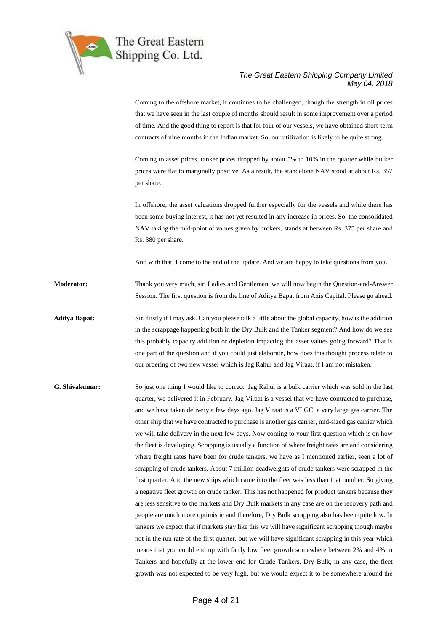

Coming to the offshore market, it continues to be challenged, though the strength in oil prices that we have seen in the last couple of months should result in some improvement over a period of time. And the good thing to report is that for four of our vessels, we have obtained short-term contracts of nine months in the Indian market. So, our utilization is likely to be quite strong.

Coming to asset prices, tanker prices dropped by about 5% to 10% in the quarter while bulker prices were flat to marginally positive. As a result, the standalone NAV stood at about Rs. 357 per share.

In offshore, the asset valuations dropped further especially for the vessels and while there has been some buying interest, it has not yet resulted in any increase in prices. So, the consolidated NAV taking the mid-point of values given by brokers, stands at between Rs. 375 per share and Rs. 380 per share.

And with that, I come to the end of the update. And we are happy to take questions from you.

**Moderator:** Thank you very much, sir. Ladies and Gentlemen, we will now begin the Question-and-Answer Session. The first question is from the line of Aditya Bapat from Axis Capital. Please go ahead.

**Aditya Bapat:** Sir, firstly if I may ask. Can you please talk a little about the global capacity, how is the addition in the scrappage happening both in the Dry Bulk and the Tanker segment? And how do we see this probably capacity addition or depletion impacting the asset values going forward? That is one part of the question and if you could just elaborate, how does this thought process relate to our ordering of two new vessel which is Jag Rahul and Jag Viraat, if I am not mistaken.

**G. Shivakumar:** So just one thing I would like to correct. Jag Rahul is a bulk carrier which was sold in the last quarter, we delivered it in February. Jag Viraat is a vessel that we have contracted to purchase, and we have taken delivery a few days ago. Jag Viraat is a VLGC, a very large gas carrier. The other ship that we have contracted to purchase is another gas carrier, mid-sized gas carrier which we will take delivery in the next few days. Now coming to your first question which is on how the fleet is developing. Scrapping is usually a function of where freight rates are and considering where freight rates have been for crude tankers, we have as I mentioned earlier, seen a lot of scrapping of crude tankers. About 7 million deadweights of crude tankers were scrapped in the first quarter. And the new ships which came into the fleet was less than that number. So giving a negative fleet growth on crude tanker. This has not happened for product tankers because they are less sensitive to the markets and Dry Bulk markets in any case are on the recovery path and people are much more optimistic and therefore, Dry Bulk scrapping also has been quite low. In tankers we expect that if markets stay like this we will have significant scrapping though maybe not in the run rate of the first quarter, but we will have significant scrapping in this year which means that you could end up with fairly low fleet growth somewhere between 2% and 4% in Tankers and hopefully at the lower end for Crude Tankers. Dry Bulk, in any case, the fleet growth was not expected to be very high, but we would expect it to be somewhere around the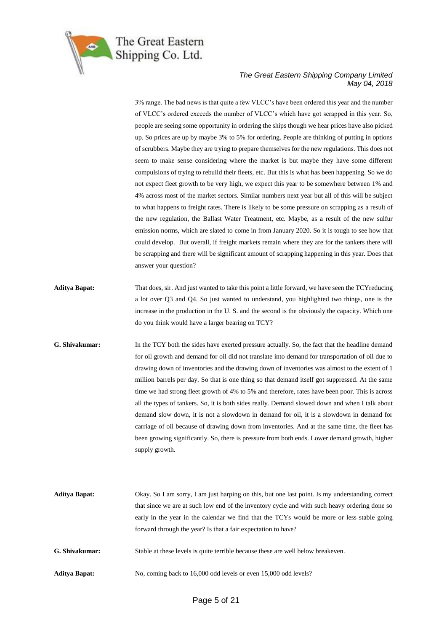

3% range. The bad news is that quite a few VLCC's have been ordered this year and the number of VLCC's ordered exceeds the number of VLCC's which have got scrapped in this year. So, people are seeing some opportunity in ordering the ships though we hear prices have also picked up. So prices are up by maybe 3% to 5% for ordering. People are thinking of putting in options of scrubbers. Maybe they are trying to prepare themselves for the new regulations. This does not seem to make sense considering where the market is but maybe they have some different compulsions of trying to rebuild their fleets, etc. But this is what has been happening. So we do not expect fleet growth to be very high, we expect this year to be somewhere between 1% and 4% across most of the market sectors. Similar numbers next year but all of this will be subject to what happens to freight rates. There is likely to be some pressure on scrapping as a result of the new regulation, the Ballast Water Treatment, etc. Maybe, as a result of the new sulfur emission norms, which are slated to come in from January 2020. So it is tough to see how that could develop. But overall, if freight markets remain where they are for the tankers there will be scrapping and there will be significant amount of scrapping happening in this year. Does that answer your question?

- **Aditya Bapat:** That does, sir. And just wanted to take this point a little forward, we have seen the TCYreducing a lot over Q3 and Q4. So just wanted to understand, you highlighted two things, one is the increase in the production in the U. S. and the second is the obviously the capacity. Which one do you think would have a larger bearing on TCY?
- **G. Shivakumar:** In the TCY both the sides have exerted pressure actually. So, the fact that the headline demand for oil growth and demand for oil did not translate into demand for transportation of oil due to drawing down of inventories and the drawing down of inventories was almost to the extent of 1 million barrels per day. So that is one thing so that demand itself got suppressed. At the same time we had strong fleet growth of 4% to 5% and therefore, rates have been poor. This is across all the types of tankers. So, it is both sides really. Demand slowed down and when I talk about demand slow down, it is not a slowdown in demand for oil, it is a slowdown in demand for carriage of oil because of drawing down from inventories. And at the same time, the fleet has been growing significantly. So, there is pressure from both ends. Lower demand growth, higher supply growth.

| <b>Aditya Bapat:</b> | Okay. So I am sorry, I am just harping on this, but one last point. Is my understanding correct |
|----------------------|-------------------------------------------------------------------------------------------------|
|                      | that since we are at such low end of the inventory cycle and with such heavy ordering done so   |
|                      | early in the year in the calendar we find that the TCYs would be more or less stable going      |
|                      | forward through the year? Is that a fair expectation to have?                                   |
| G. Shivakumar:       | Stable at these levels is quite terrible because these are well below breakeven.                |
| <b>Aditya Bapat:</b> | No, coming back to 16,000 odd levels or even 15,000 odd levels?                                 |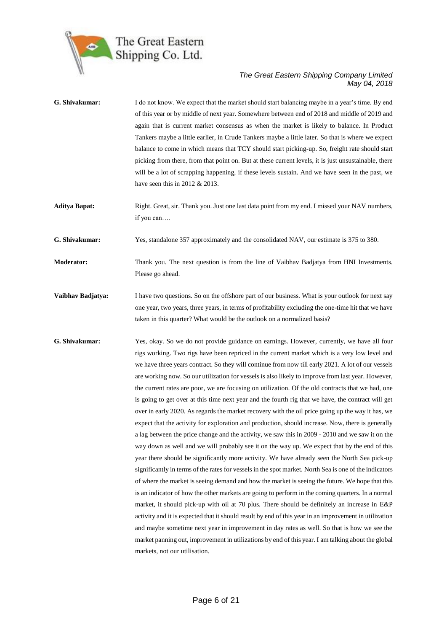

| G. Shivakumar:       | I do not know. We expect that the market should start balancing maybe in a year's time. By end<br>of this year or by middle of next year. Somewhere between end of 2018 and middle of 2019 and<br>again that is current market consensus as when the market is likely to balance. In Product<br>Tankers maybe a little earlier, in Crude Tankers maybe a little later. So that is where we expect<br>balance to come in which means that TCY should start picking-up. So, freight rate should start<br>picking from there, from that point on. But at these current levels, it is just unsustainable, there<br>will be a lot of scrapping happening, if these levels sustain. And we have seen in the past, we<br>have seen this in 2012 $& 2013$ .                                                                                                                                                                                                                                                                                                                                                                                                                                                                                                                                                                                                                                                                                                                                                                                                                                                                                                                                                                                                                                                                                                                                                 |
|----------------------|-----------------------------------------------------------------------------------------------------------------------------------------------------------------------------------------------------------------------------------------------------------------------------------------------------------------------------------------------------------------------------------------------------------------------------------------------------------------------------------------------------------------------------------------------------------------------------------------------------------------------------------------------------------------------------------------------------------------------------------------------------------------------------------------------------------------------------------------------------------------------------------------------------------------------------------------------------------------------------------------------------------------------------------------------------------------------------------------------------------------------------------------------------------------------------------------------------------------------------------------------------------------------------------------------------------------------------------------------------------------------------------------------------------------------------------------------------------------------------------------------------------------------------------------------------------------------------------------------------------------------------------------------------------------------------------------------------------------------------------------------------------------------------------------------------------------------------------------------------------------------------------------------------|
| <b>Aditya Bapat:</b> | Right. Great, sir. Thank you. Just one last data point from my end. I missed your NAV numbers,<br>if you can                                                                                                                                                                                                                                                                                                                                                                                                                                                                                                                                                                                                                                                                                                                                                                                                                                                                                                                                                                                                                                                                                                                                                                                                                                                                                                                                                                                                                                                                                                                                                                                                                                                                                                                                                                                        |
| G. Shivakumar:       | Yes, standalone 357 approximately and the consolidated NAV, our estimate is 375 to 380.                                                                                                                                                                                                                                                                                                                                                                                                                                                                                                                                                                                                                                                                                                                                                                                                                                                                                                                                                                                                                                                                                                                                                                                                                                                                                                                                                                                                                                                                                                                                                                                                                                                                                                                                                                                                             |
| <b>Moderator:</b>    | Thank you. The next question is from the line of Vaibhav Badjatya from HNI Investments.<br>Please go ahead.                                                                                                                                                                                                                                                                                                                                                                                                                                                                                                                                                                                                                                                                                                                                                                                                                                                                                                                                                                                                                                                                                                                                                                                                                                                                                                                                                                                                                                                                                                                                                                                                                                                                                                                                                                                         |
| Vaibhav Badjatya:    | I have two questions. So on the offshore part of our business. What is your outlook for next say<br>one year, two years, three years, in terms of profitability excluding the one-time hit that we have<br>taken in this quarter? What would be the outlook on a normalized basis?                                                                                                                                                                                                                                                                                                                                                                                                                                                                                                                                                                                                                                                                                                                                                                                                                                                                                                                                                                                                                                                                                                                                                                                                                                                                                                                                                                                                                                                                                                                                                                                                                  |
| G. Shivakumar:       | Yes, okay. So we do not provide guidance on earnings. However, currently, we have all four<br>rigs working. Two rigs have been repriced in the current market which is a very low level and<br>we have three years contract. So they will continue from now till early 2021. A lot of our vessels<br>are working now. So our utilization for vessels is also likely to improve from last year. However,<br>the current rates are poor, we are focusing on utilization. Of the old contracts that we had, one<br>is going to get over at this time next year and the fourth rig that we have, the contract will get<br>over in early 2020. As regards the market recovery with the oil price going up the way it has, we<br>expect that the activity for exploration and production, should increase. Now, there is generally<br>a lag between the price change and the activity, we saw this in 2009 - 2010 and we saw it on the<br>way down as well and we will probably see it on the way up. We expect that by the end of this<br>year there should be significantly more activity. We have already seen the North Sea pick-up<br>significantly in terms of the rates for vessels in the spot market. North Sea is one of the indicators<br>of where the market is seeing demand and how the market is seeing the future. We hope that this<br>is an indicator of how the other markets are going to perform in the coming quarters. In a normal<br>market, it should pick-up with oil at 70 plus. There should be definitely an increase in E&P<br>activity and it is expected that it should result by end of this year in an improvement in utilization<br>and maybe sometime next year in improvement in day rates as well. So that is how we see the<br>market panning out, improvement in utilizations by end of this year. I am talking about the global<br>markets, not our utilisation. |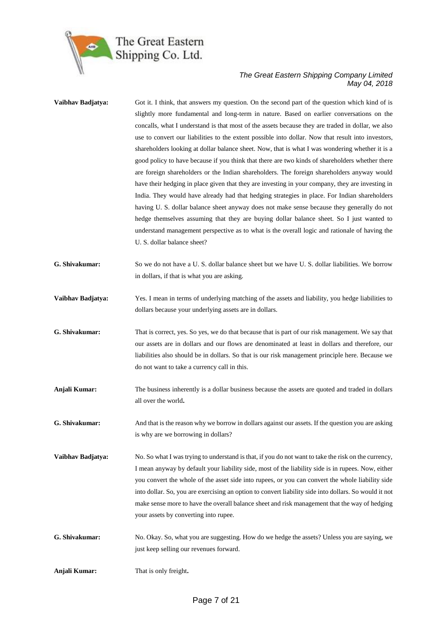

| Vaibhav Badjatya: | Got it. I think, that answers my question. On the second part of the question which kind of is<br>slightly more fundamental and long-term in nature. Based on earlier conversations on the<br>concalls, what I understand is that most of the assets because they are traded in dollar, we also<br>use to convert our liabilities to the extent possible into dollar. Now that result into investors,<br>shareholders looking at dollar balance sheet. Now, that is what I was wondering whether it is a<br>good policy to have because if you think that there are two kinds of shareholders whether there<br>are foreign shareholders or the Indian shareholders. The foreign shareholders anyway would<br>have their hedging in place given that they are investing in your company, they are investing in<br>India. They would have already had that hedging strategies in place. For Indian shareholders<br>having U.S. dollar balance sheet anyway does not make sense because they generally do not<br>hedge themselves assuming that they are buying dollar balance sheet. So I just wanted to<br>understand management perspective as to what is the overall logic and rationale of having the<br>U. S. dollar balance sheet? |
|-------------------|----------------------------------------------------------------------------------------------------------------------------------------------------------------------------------------------------------------------------------------------------------------------------------------------------------------------------------------------------------------------------------------------------------------------------------------------------------------------------------------------------------------------------------------------------------------------------------------------------------------------------------------------------------------------------------------------------------------------------------------------------------------------------------------------------------------------------------------------------------------------------------------------------------------------------------------------------------------------------------------------------------------------------------------------------------------------------------------------------------------------------------------------------------------------------------------------------------------------------------------|
| G. Shivakumar:    | So we do not have a U.S. dollar balance sheet but we have U.S. dollar liabilities. We borrow<br>in dollars, if that is what you are asking.                                                                                                                                                                                                                                                                                                                                                                                                                                                                                                                                                                                                                                                                                                                                                                                                                                                                                                                                                                                                                                                                                            |
| Vaibhav Badjatya: | Yes. I mean in terms of underlying matching of the assets and liability, you hedge liabilities to<br>dollars because your underlying assets are in dollars.                                                                                                                                                                                                                                                                                                                                                                                                                                                                                                                                                                                                                                                                                                                                                                                                                                                                                                                                                                                                                                                                            |
| G. Shivakumar:    | That is correct, yes. So yes, we do that because that is part of our risk management. We say that<br>our assets are in dollars and our flows are denominated at least in dollars and therefore, our<br>liabilities also should be in dollars. So that is our risk management principle here. Because we<br>do not want to take a currency call in this.                                                                                                                                                                                                                                                                                                                                                                                                                                                                                                                                                                                                                                                                                                                                                                                                                                                                                |
| Anjali Kumar:     | The business inherently is a dollar business because the assets are quoted and traded in dollars<br>all over the world.                                                                                                                                                                                                                                                                                                                                                                                                                                                                                                                                                                                                                                                                                                                                                                                                                                                                                                                                                                                                                                                                                                                |
| G. Shivakumar:    | And that is the reason why we borrow in dollars against our assets. If the question you are asking<br>is why are we borrowing in dollars?                                                                                                                                                                                                                                                                                                                                                                                                                                                                                                                                                                                                                                                                                                                                                                                                                                                                                                                                                                                                                                                                                              |
| Vaibhav Badjatya: | No. So what I was trying to understand is that, if you do not want to take the risk on the currency,<br>I mean anyway by default your liability side, most of the liability side is in rupees. Now, either<br>you convert the whole of the asset side into rupees, or you can convert the whole liability side<br>into dollar. So, you are exercising an option to convert liability side into dollars. So would it not<br>make sense more to have the overall balance sheet and risk management that the way of hedging<br>your assets by converting into rupee.                                                                                                                                                                                                                                                                                                                                                                                                                                                                                                                                                                                                                                                                      |
| G. Shivakumar:    | No. Okay. So, what you are suggesting. How do we hedge the assets? Unless you are saying, we<br>just keep selling our revenues forward.                                                                                                                                                                                                                                                                                                                                                                                                                                                                                                                                                                                                                                                                                                                                                                                                                                                                                                                                                                                                                                                                                                |
| Anjali Kumar:     | That is only freight.                                                                                                                                                                                                                                                                                                                                                                                                                                                                                                                                                                                                                                                                                                                                                                                                                                                                                                                                                                                                                                                                                                                                                                                                                  |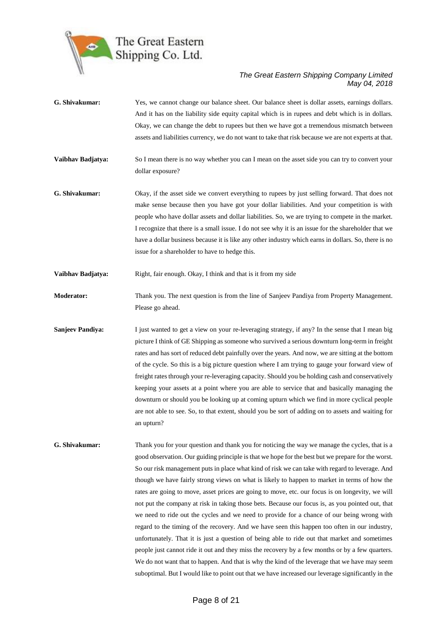

- **G. Shivakumar:** Yes, we cannot change our balance sheet. Our balance sheet is dollar assets, earnings dollars. And it has on the liability side equity capital which is in rupees and debt which is in dollars. Okay, we can change the debt to rupees but then we have got a tremendous mismatch between assets and liabilities currency, we do not want to take that risk because we are not experts at that.
- **Vaibhav Badjatya:** So I mean there is no way whether you can I mean on the asset side you can try to convert your dollar exposure?
- **G. Shivakumar:** Okay, if the asset side we convert everything to rupees by just selling forward. That does not make sense because then you have got your dollar liabilities. And your competition is with people who have dollar assets and dollar liabilities. So, we are trying to compete in the market. I recognize that there is a small issue. I do not see why it is an issue for the shareholder that we have a dollar business because it is like any other industry which earns in dollars. So, there is no issue for a shareholder to have to hedge this.

**Vaibhav Badjatya:** Right, fair enough. Okay, I think and that is it from my side

**Moderator:** Thank you. The next question is from the line of Sanjeev Pandiya from Property Management. Please go ahead.

- **Sanjeev Pandiya:** I just wanted to get a view on your re-leveraging strategy, if any? In the sense that I mean big picture I think of GE Shipping as someone who survived a serious downturn long-term in freight rates and has sort of reduced debt painfully over the years. And now, we are sitting at the bottom of the cycle. So this is a big picture question where I am trying to gauge your forward view of freight rates through your re-leveraging capacity. Should you be holding cash and conservatively keeping your assets at a point where you are able to service that and basically managing the downturn or should you be looking up at coming upturn which we find in more cyclical people are not able to see. So, to that extent, should you be sort of adding on to assets and waiting for an upturn?
- **G. Shivakumar:** Thank you for your question and thank you for noticing the way we manage the cycles, that is a good observation. Our guiding principle is that we hope for the best but we prepare for the worst. So our risk management puts in place what kind of risk we can take with regard to leverage. And though we have fairly strong views on what is likely to happen to market in terms of how the rates are going to move, asset prices are going to move, etc. our focus is on longevity, we will not put the company at risk in taking those bets. Because our focus is, as you pointed out, that we need to ride out the cycles and we need to provide for a chance of our being wrong with regard to the timing of the recovery. And we have seen this happen too often in our industry, unfortunately. That it is just a question of being able to ride out that market and sometimes people just cannot ride it out and they miss the recovery by a few months or by a few quarters. We do not want that to happen. And that is why the kind of the leverage that we have may seem suboptimal. But I would like to point out that we have increased our leverage significantly in the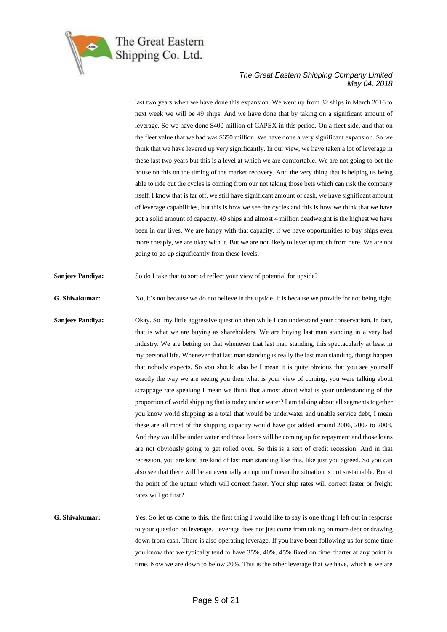

last two years when we have done this expansion. We went up from 32 ships in March 2016 to next week we will be 49 ships. And we have done that by taking on a significant amount of leverage. So we have done \$400 million of CAPEX in this period. On a fleet side, and that on the fleet value that we had was \$650 million. We have done a very significant expansion. So we think that we have levered up very significantly. In our view, we have taken a lot of leverage in these last two years but this is a level at which we are comfortable. We are not going to bet the house on this on the timing of the market recovery. And the very thing that is helping us being able to ride out the cycles is coming from our not taking those bets which can risk the company itself. I know that is far off, we still have significant amount of cash, we have significant amount of leverage capabilities, but this is how we see the cycles and this is how we think that we have got a solid amount of capacity. 49 ships and almost 4 million deadweight is the highest we have been in our lives. We are happy with that capacity, if we have opportunities to buy ships even more cheaply, we are okay with it. But we are not likely to lever up much from here. We are not going to go up significantly from these levels.

**Sanjeev Pandiya:** So do I take that to sort of reflect your view of potential for upside?

**G. Shivakumar:** No, it's not because we do not believe in the upside. It is because we provide for not being right.

**Sanjeev Pandiya:** Okay. So my little aggressive question then while I can understand your conservatism, in fact, that is what we are buying as shareholders. We are buying last man standing in a very bad industry. We are betting on that whenever that last man standing, this spectacularly at least in my personal life. Whenever that last man standing is really the last man standing, things happen that nobody expects. So you should also be I mean it is quite obvious that you see yourself exactly the way we are seeing you then what is your view of coming, you were talking about scrappage rate speaking I mean we think that almost about what is your understanding of the proportion of world shipping that is today under water? I am talking about all segments together you know world shipping as a total that would be underwater and unable service debt, I mean these are all most of the shipping capacity would have got added around 2006, 2007 to 2008. And they would be under water and those loans will be coming up for repayment and those loans are not obviously going to get rolled over. So this is a sort of credit recession. And in that recession, you are kind are kind of last man standing like this, like just you agreed. So you can also see that there will be an eventually an upturn I mean the situation is not sustainable. But at the point of the upturn which will correct faster. Your ship rates will correct faster or freight rates will go first?

**G. Shivakumar:** Yes. So let us come to this. the first thing I would like to say is one thing I left out in response to your question on leverage. Leverage does not just come from taking on more debt or drawing down from cash. There is also operating leverage. If you have been following us for some time you know that we typically tend to have 35%, 40%, 45% fixed on time charter at any point in time. Now we are down to below 20%. This is the other leverage that we have, which is we are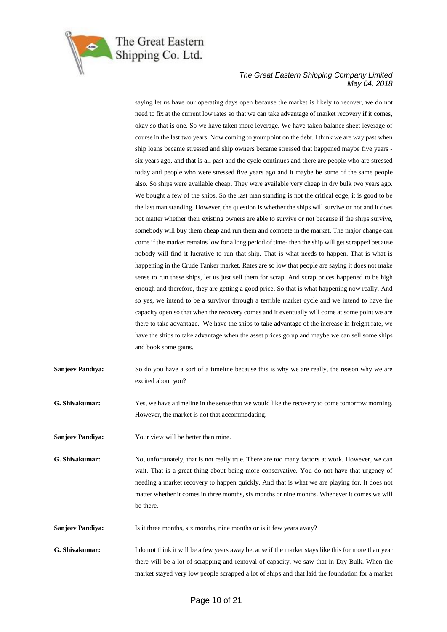

saying let us have our operating days open because the market is likely to recover, we do not need to fix at the current low rates so that we can take advantage of market recovery if it comes, okay so that is one. So we have taken more leverage. We have taken balance sheet leverage of course in the last two years. Now coming to your point on the debt. I think we are way past when ship loans became stressed and ship owners became stressed that happened maybe five years six years ago, and that is all past and the cycle continues and there are people who are stressed today and people who were stressed five years ago and it maybe be some of the same people also. So ships were available cheap. They were available very cheap in dry bulk two years ago. We bought a few of the ships. So the last man standing is not the critical edge, it is good to be the last man standing. However, the question is whether the ships will survive or not and it does not matter whether their existing owners are able to survive or not because if the ships survive, somebody will buy them cheap and run them and compete in the market. The major change can come if the market remains low for a long period of time- then the ship will get scrapped because nobody will find it lucrative to run that ship. That is what needs to happen. That is what is happening in the Crude Tanker market. Rates are so low that people are saying it does not make sense to run these ships, let us just sell them for scrap. And scrap prices happened to be high enough and therefore, they are getting a good price. So that is what happening now really. And so yes, we intend to be a survivor through a terrible market cycle and we intend to have the capacity open so that when the recovery comes and it eventually will come at some point we are there to take advantage. We have the ships to take advantage of the increase in freight rate, we have the ships to take advantage when the asset prices go up and maybe we can sell some ships and book some gains.

**Sanjeev Pandiya:** So do you have a sort of a timeline because this is why we are really, the reason why we are excited about you?

**G. Shivakumar:** Yes, we have a timeline in the sense that we would like the recovery to come tomorrow morning. However, the market is not that accommodating.

**Sanjeev Pandiya:** Your view will be better than mine.

**G. Shivakumar:** No, unfortunately, that is not really true. There are too many factors at work. However, we can wait. That is a great thing about being more conservative. You do not have that urgency of needing a market recovery to happen quickly. And that is what we are playing for. It does not matter whether it comes in three months, six months or nine months. Whenever it comes we will be there.

**Sanjeev Pandiya:** Is it three months, six months, nine months or is it few years away?

**G. Shivakumar:** I do not think it will be a few years away because if the market stays like this for more than year there will be a lot of scrapping and removal of capacity, we saw that in Dry Bulk. When the market stayed very low people scrapped a lot of ships and that laid the foundation for a market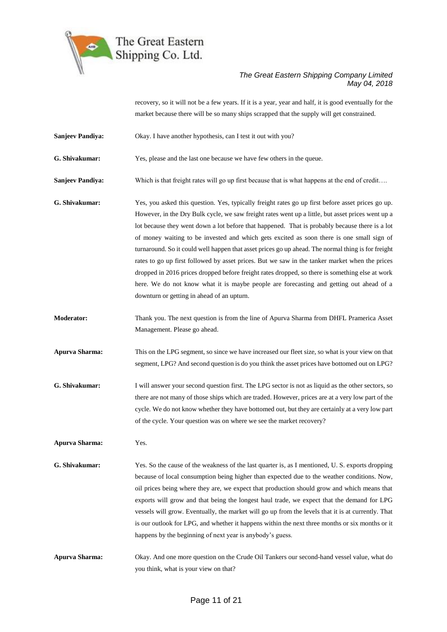

recovery, so it will not be a few years. If it is a year, year and half, it is good eventually for the market because there will be so many ships scrapped that the supply will get constrained.

**Sanjeev Pandiya:** Okay. I have another hypothesis, can I test it out with you?

**G. Shivakumar:** Yes, please and the last one because we have few others in the queue.

**Sanjeev Pandiya:** Which is that freight rates will go up first because that is what happens at the end of credit….

**G. Shivakumar:** Yes, you asked this question. Yes, typically freight rates go up first before asset prices go up. However, in the Dry Bulk cycle, we saw freight rates went up a little, but asset prices went up a lot because they went down a lot before that happened. That is probably because there is a lot of money waiting to be invested and which gets excited as soon there is one small sign of turnaround. So it could well happen that asset prices go up ahead. The normal thing is for freight rates to go up first followed by asset prices. But we saw in the tanker market when the prices dropped in 2016 prices dropped before freight rates dropped, so there is something else at work here. We do not know what it is maybe people are forecasting and getting out ahead of a downturn or getting in ahead of an upturn.

**Moderator:** Thank you. The next question is from the line of Apurva Sharma from DHFL Pramerica Asset Management. Please go ahead.

**Apurva Sharma:** This on the LPG segment, so since we have increased our fleet size, so what is your view on that segment, LPG? And second question is do you think the asset prices have bottomed out on LPG?

**G. Shivakumar:** I will answer your second question first. The LPG sector is not as liquid as the other sectors, so there are not many of those ships which are traded. However, prices are at a very low part of the cycle. We do not know whether they have bottomed out, but they are certainly at a very low part of the cycle. Your question was on where we see the market recovery?

**Apurva Sharma:** Yes.

- **G. Shivakumar:** Yes. So the cause of the weakness of the last quarter is, as I mentioned, U. S. exports dropping because of local consumption being higher than expected due to the weather conditions. Now, oil prices being where they are, we expect that production should grow and which means that exports will grow and that being the longest haul trade, we expect that the demand for LPG vessels will grow. Eventually, the market will go up from the levels that it is at currently. That is our outlook for LPG, and whether it happens within the next three months or six months or it happens by the beginning of next year is anybody's guess.
- **Apurva Sharma:** Okay. And one more question on the Crude Oil Tankers our second-hand vessel value, what do you think, what is your view on that?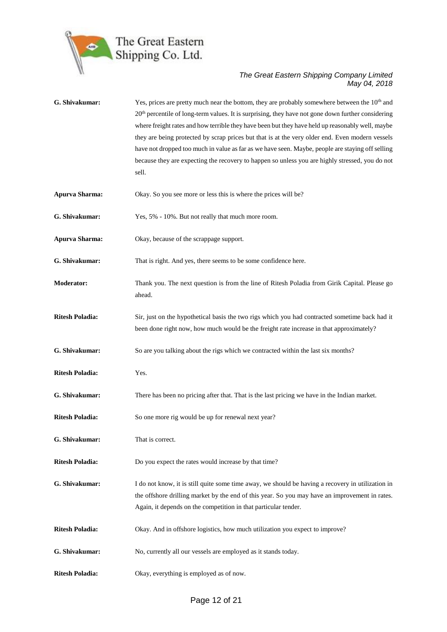

G. Shivakumar: Yes, prices are pretty much near the bottom, they are probably somewhere between the 10<sup>th</sup> and 20<sup>th</sup> percentile of long-term values. It is surprising, they have not gone down further considering where freight rates and how terrible they have been but they have held up reasonably well, maybe they are being protected by scrap prices but that is at the very older end. Even modern vessels have not dropped too much in value as far as we have seen. Maybe, people are staying off selling because they are expecting the recovery to happen so unless you are highly stressed, you do not sell. **Apurva Sharma:** Okay. So you see more or less this is where the prices will be? **G. Shivakumar:** Yes, 5% - 10%. But not really that much more room. **Apurva Sharma:** Okay, because of the scrappage support. **G. Shivakumar:** That is right. And yes, there seems to be some confidence here. **Moderator:** Thank you. The next question is from the line of Ritesh Poladia from Girik Capital. Please go ahead. **Ritesh Poladia:** Sir, just on the hypothetical basis the two rigs which you had contracted sometime back had it been done right now, how much would be the freight rate increase in that approximately? **G. Shivakumar:** So are you talking about the rigs which we contracted within the last six months? **Ritesh Poladia:** Yes. **G. Shivakumar:** There has been no pricing after that. That is the last pricing we have in the Indian market. **Ritesh Poladia:** So one more rig would be up for renewal next year? **G. Shivakumar:** That is correct. **Ritesh Poladia:** Do you expect the rates would increase by that time? **G. Shivakumar:** I do not know, it is still quite some time away, we should be having a recovery in utilization in the offshore drilling market by the end of this year. So you may have an improvement in rates. Again, it depends on the competition in that particular tender. **Ritesh Poladia:** Okay. And in offshore logistics, how much utilization you expect to improve? **G. Shivakumar:** No, currently all our vessels are employed as it stands today. **Ritesh Poladia:** Okay, everything is employed as of now.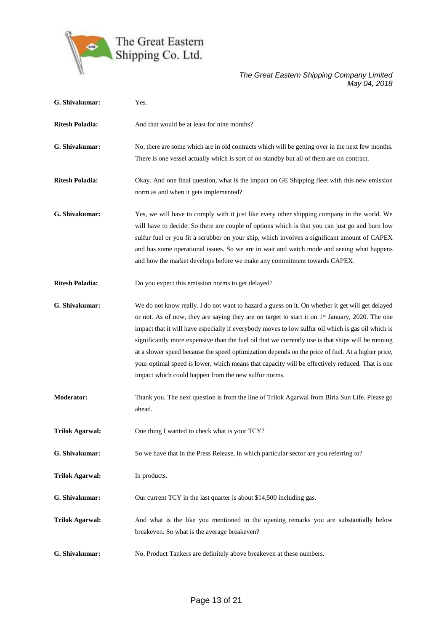

| G. Shivakumar:         | Yes.                                                                                                                                                                                                                                                                                                                                                                                                                                                                                                                                                                                                                                                                                        |
|------------------------|---------------------------------------------------------------------------------------------------------------------------------------------------------------------------------------------------------------------------------------------------------------------------------------------------------------------------------------------------------------------------------------------------------------------------------------------------------------------------------------------------------------------------------------------------------------------------------------------------------------------------------------------------------------------------------------------|
| <b>Ritesh Poladia:</b> | And that would be at least for nine months?                                                                                                                                                                                                                                                                                                                                                                                                                                                                                                                                                                                                                                                 |
| G. Shivakumar:         | No, there are some which are in old contracts which will be getting over in the next few months.<br>There is one vessel actually which is sort of on standby but all of them are on contract.                                                                                                                                                                                                                                                                                                                                                                                                                                                                                               |
| <b>Ritesh Poladia:</b> | Okay. And one final question, what is the impact on GE Shipping fleet with this new emission<br>norm as and when it gets implemented?                                                                                                                                                                                                                                                                                                                                                                                                                                                                                                                                                       |
| G. Shivakumar:         | Yes, we will have to comply with it just like every other shipping company in the world. We<br>will have to decide. So there are couple of options which is that you can just go and burn low<br>sulfur fuel or you fit a scrubber on your ship, which involves a significant amount of CAPEX<br>and has some operational issues. So we are in wait and watch mode and seeing what happens<br>and how the market develops before we make any commitment towards CAPEX.                                                                                                                                                                                                                      |
| <b>Ritesh Poladia:</b> | Do you expect this emission norms to get delayed?                                                                                                                                                                                                                                                                                                                                                                                                                                                                                                                                                                                                                                           |
| G. Shivakumar:         | We do not know really. I do not want to hazard a guess on it. On whether it get will get delayed<br>or not. As of now, they are saying they are on target to start it on 1 <sup>st</sup> January, 2020. The one<br>impact that it will have especially if everybody moves to low sulfur oil which is gas oil which is<br>significantly more expensive than the fuel oil that we currently use is that ships will be running<br>at a slower speed because the speed optimization depends on the price of fuel. At a higher price,<br>your optimal speed is lower, which means that capacity will be effectively reduced. That is one<br>impact which could happen from the new sulfur norms. |
| <b>Moderator:</b>      | Thank you. The next question is from the line of Trilok Agarwal from Birla Sun Life. Please go<br>ahead.                                                                                                                                                                                                                                                                                                                                                                                                                                                                                                                                                                                    |
| <b>Trilok Agarwal:</b> | One thing I wanted to check what is your TCY?                                                                                                                                                                                                                                                                                                                                                                                                                                                                                                                                                                                                                                               |
| G. Shivakumar:         | So we have that in the Press Release, in which particular sector are you referring to?                                                                                                                                                                                                                                                                                                                                                                                                                                                                                                                                                                                                      |
| <b>Trilok Agarwal:</b> | In products.                                                                                                                                                                                                                                                                                                                                                                                                                                                                                                                                                                                                                                                                                |
| G. Shivakumar:         | Our current TCY in the last quarter is about \$14,500 including gas.                                                                                                                                                                                                                                                                                                                                                                                                                                                                                                                                                                                                                        |
| <b>Trilok Agarwal:</b> | And what is the like you mentioned in the opening remarks you are substantially below<br>breakeven. So what is the average breakeven?                                                                                                                                                                                                                                                                                                                                                                                                                                                                                                                                                       |
| G. Shivakumar:         | No, Product Tankers are definitely above breakeven at these numbers.                                                                                                                                                                                                                                                                                                                                                                                                                                                                                                                                                                                                                        |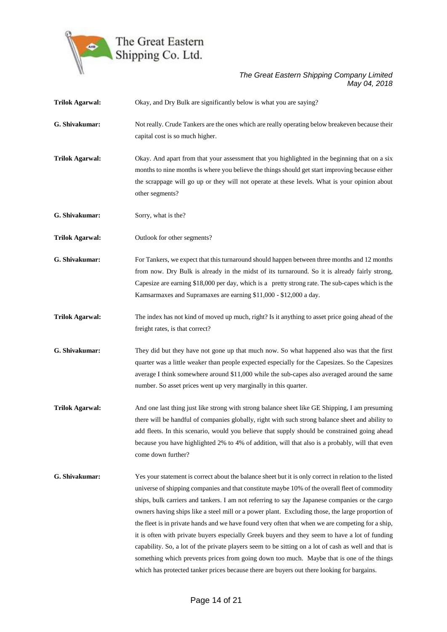

| <b>Trilok Agarwal:</b> | Okay, and Dry Bulk are significantly below is what you are saying?                                                                                                                                                                                                                                                                                                                                                                                                                                                                                                                                                                                                                                                                                                                                                                                                                                                        |
|------------------------|---------------------------------------------------------------------------------------------------------------------------------------------------------------------------------------------------------------------------------------------------------------------------------------------------------------------------------------------------------------------------------------------------------------------------------------------------------------------------------------------------------------------------------------------------------------------------------------------------------------------------------------------------------------------------------------------------------------------------------------------------------------------------------------------------------------------------------------------------------------------------------------------------------------------------|
| G. Shivakumar:         | Not really. Crude Tankers are the ones which are really operating below breakeven because their<br>capital cost is so much higher.                                                                                                                                                                                                                                                                                                                                                                                                                                                                                                                                                                                                                                                                                                                                                                                        |
| <b>Trilok Agarwal:</b> | Okay. And apart from that your assessment that you highlighted in the beginning that on a six<br>months to nine months is where you believe the things should get start improving because either<br>the scrappage will go up or they will not operate at these levels. What is your opinion about<br>other segments?                                                                                                                                                                                                                                                                                                                                                                                                                                                                                                                                                                                                      |
| G. Shivakumar:         | Sorry, what is the?                                                                                                                                                                                                                                                                                                                                                                                                                                                                                                                                                                                                                                                                                                                                                                                                                                                                                                       |
| <b>Trilok Agarwal:</b> | Outlook for other segments?                                                                                                                                                                                                                                                                                                                                                                                                                                                                                                                                                                                                                                                                                                                                                                                                                                                                                               |
| G. Shivakumar:         | For Tankers, we expect that this turnaround should happen between three months and 12 months<br>from now. Dry Bulk is already in the midst of its turnaround. So it is already fairly strong,<br>Capesize are earning \$18,000 per day, which is a pretty strong rate. The sub-capes which is the<br>Kamsarmaxes and Supramaxes are earning \$11,000 - \$12,000 a day.                                                                                                                                                                                                                                                                                                                                                                                                                                                                                                                                                    |
| <b>Trilok Agarwal:</b> | The index has not kind of moved up much, right? Is it anything to asset price going ahead of the<br>freight rates, is that correct?                                                                                                                                                                                                                                                                                                                                                                                                                                                                                                                                                                                                                                                                                                                                                                                       |
| G. Shivakumar:         | They did but they have not gone up that much now. So what happened also was that the first<br>quarter was a little weaker than people expected especially for the Capesizes. So the Capesizes<br>average I think somewhere around \$11,000 while the sub-capes also averaged around the same<br>number. So asset prices went up very marginally in this quarter.                                                                                                                                                                                                                                                                                                                                                                                                                                                                                                                                                          |
| <b>Trilok Agarwal:</b> | And one last thing just like strong with strong balance sheet like GE Shipping, I am presuming<br>there will be handful of companies globally, right with such strong balance sheet and ability to<br>add fleets. In this scenario, would you believe that supply should be constrained going ahead<br>because you have highlighted 2% to 4% of addition, will that also is a probably, will that even<br>come down further?                                                                                                                                                                                                                                                                                                                                                                                                                                                                                              |
| G. Shivakumar:         | Yes your statement is correct about the balance sheet but it is only correct in relation to the listed<br>universe of shipping companies and that constitute maybe 10% of the overall fleet of commodity<br>ships, bulk carriers and tankers. I am not referring to say the Japanese companies or the cargo<br>owners having ships like a steel mill or a power plant. Excluding those, the large proportion of<br>the fleet is in private hands and we have found very often that when we are competing for a ship,<br>it is often with private buyers especially Greek buyers and they seem to have a lot of funding<br>capability. So, a lot of the private players seem to be sitting on a lot of cash as well and that is<br>something which prevents prices from going down too much. Maybe that is one of the things<br>which has protected tanker prices because there are buyers out there looking for bargains. |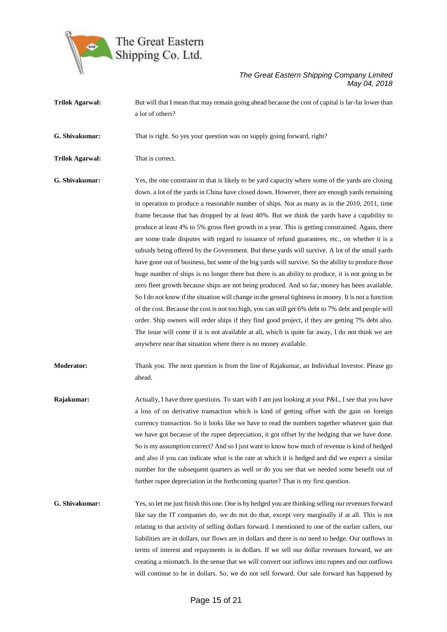

**Trilok Agarwal:** But will that I mean that may remain going ahead because the cost of capital is far-far lower than a lot of others? **G. Shivakumar:** That is right. So yes your question was on supply going forward, right? **Trilok Agarwal:** That is correct. **G. Shivakumar:** Yes, the one constraint in that is likely to be yard capacity where some of the yards are closing down. a lot of the yards in China have closed down. However, there are enough yards remaining in operation to produce a reasonable number of ships. Not as many as in the 2010, 2011, time frame because that has dropped by at least 40%. But we think the yards have a capability to produce at least 4% to 5% gross fleet growth in a year. This is getting constrained. Again, there are some trade disputes with regard to issuance of refund guarantees, etc., on whether it is a subsidy being offered by the Government. But these yards will survive. A lot of the small yards have gone out of business, but some of the big yards will survive. So the ability to produce those huge number of ships is no longer there but there is an ability to produce, it is not going to be zero fleet growth because ships are not being produced. And so far, money has been available. So I do not know if the situation will change in the general tightness in money. It is not a function of the cost. Because the cost is not too high, you can still get 6% debt to 7% debt and people will order. Ship owners will order ships if they find good project, if they are getting 7% debt also.

**Moderator:** Thank you. The next question is from the line of Rajakumar, an Individual Investor. Please go ahead.

anywhere near that situation where there is no money available.

The issue will come if it is not available at all, which is quite far away, I do not think we are

- **Rajakumar:** Actually, I have three questions. To start with I am just looking at your P&L, I see that you have a loss of on derivative transaction which is kind of getting offset with the gain on foreign currency transaction. So it looks like we have to read the numbers together whatever gain that we have got because of the rupee depreciation, it got offset by the hedging that we have done. So is my assumption correct? And so I just want to know how much of revenue is kind of hedged and also if you can indicate what is the rate at which it is hedged and did we expect a similar number for the subsequent quarters as well or do you see that we needed some benefit out of further rupee depreciation in the forthcoming quarter? That is my first question.
- **G. Shivakumar:** Yes, so let me just finish this one. One is by hedged you are thinking selling our revenues forward like say the IT companies do, we do not do that, except very marginally if at all. This is not relating to that activity of selling dollars forward. I mentioned to one of the earlier callers, our liabilities are in dollars, our flows are in dollars and there is no need to hedge. Our outflows in terms of interest and repayments is in dollars. If we sell our dollar revenues forward, we are creating a mismatch. In the sense that we will convert our inflows into rupees and our outflows will continue to be in dollars. So, we do not sell forward. Our sale forward has happened by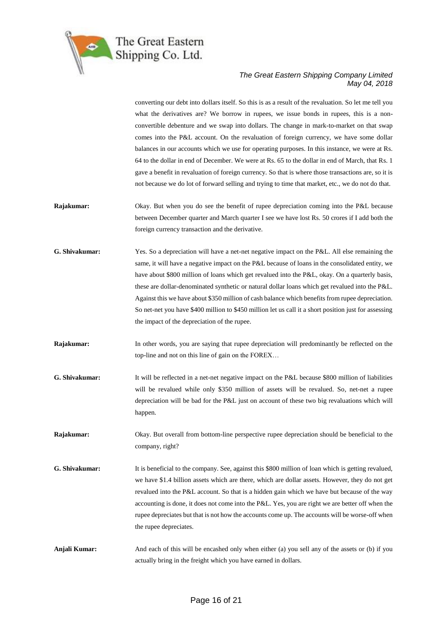

converting our debt into dollars itself. So this is as a result of the revaluation. So let me tell you what the derivatives are? We borrow in rupees, we issue bonds in rupees, this is a nonconvertible debenture and we swap into dollars. The change in mark-to-market on that swap comes into the P&L account. On the revaluation of foreign currency, we have some dollar balances in our accounts which we use for operating purposes. In this instance, we were at Rs. 64 to the dollar in end of December. We were at Rs. 65 to the dollar in end of March, that Rs. 1 gave a benefit in revaluation of foreign currency. So that is where those transactions are, so it is not because we do lot of forward selling and trying to time that market, etc., we do not do that.

- **Rajakumar:** Okay. But when you do see the benefit of rupee depreciation coming into the P&L because between December quarter and March quarter I see we have lost Rs. 50 crores if I add both the foreign currency transaction and the derivative.
- **G. Shivakumar:** Yes. So a depreciation will have a net-net negative impact on the P&L. All else remaining the same, it will have a negative impact on the P&L because of loans in the consolidated entity, we have about \$800 million of loans which get revalued into the P&L, okay. On a quarterly basis, these are dollar-denominated synthetic or natural dollar loans which get revalued into the P&L. Against this we have about \$350 million of cash balance which benefits from rupee depreciation. So net-net you have \$400 million to \$450 million let us call it a short position just for assessing the impact of the depreciation of the rupee.
- **Rajakumar:** In other words, you are saying that rupee depreciation will predominantly be reflected on the top-line and not on this line of gain on the FOREX…
- **G. Shivakumar:** It will be reflected in a net-net negative impact on the P&L because \$800 million of liabilities will be revalued while only \$350 million of assets will be revalued. So, net-net a rupee depreciation will be bad for the P&L just on account of these two big revaluations which will happen.
- **Rajakumar:** Okay. But overall from bottom-line perspective rupee depreciation should be beneficial to the company, right?
- **G. Shivakumar:** It is beneficial to the company. See, against this \$800 million of loan which is getting revalued, we have \$1.4 billion assets which are there, which are dollar assets. However, they do not get revalued into the P&L account. So that is a hidden gain which we have but because of the way accounting is done, it does not come into the P&L. Yes, you are right we are better off when the rupee depreciates but that is not how the accounts come up. The accounts will be worse-off when the rupee depreciates.
- **Anjali Kumar:** And each of this will be encashed only when either (a) you sell any of the assets or (b) if you actually bring in the freight which you have earned in dollars.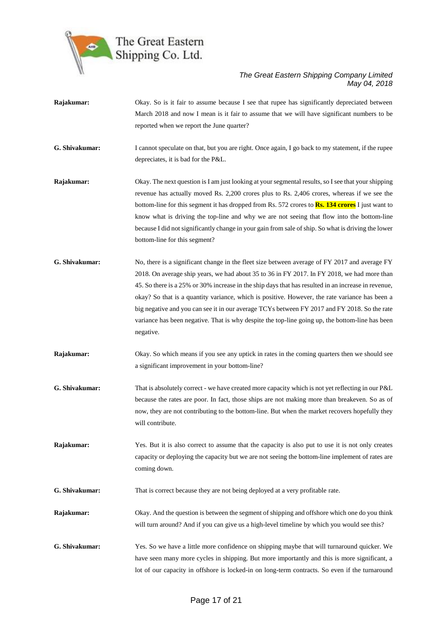

**Rajakumar:** Okay. So is it fair to assume because I see that rupee has significantly depreciated between March 2018 and now I mean is it fair to assume that we will have significant numbers to be reported when we report the June quarter? **G. Shivakumar:** I cannot speculate on that, but you are right. Once again, I go back to my statement, if the rupee depreciates, it is bad for the P&L. **Rajakumar:** Okay. The next question is I am just looking at your segmental results, so I see that your shipping revenue has actually moved Rs. 2,200 crores plus to Rs. 2,406 crores, whereas if we see the bottom-line for this segment it has dropped from Rs. 572 crores to **Rs. 134 crores** I just want to know what is driving the top-line and why we are not seeing that flow into the bottom-line because I did not significantly change in your gain from sale of ship. So what is driving the lower bottom-line for this segment? **G. Shivakumar:** No, there is a significant change in the fleet size between average of FY 2017 and average FY 2018. On average ship years, we had about 35 to 36 in FY 2017. In FY 2018, we had more than 45. So there is a 25% or 30% increase in the ship days that has resulted in an increase in revenue, okay? So that is a quantity variance, which is positive. However, the rate variance has been a big negative and you can see it in our average TCYs between FY 2017 and FY 2018. So the rate variance has been negative. That is why despite the top-line going up, the bottom-line has been negative. **Rajakumar:** Okay. So which means if you see any uptick in rates in the coming quarters then we should see a significant improvement in your bottom-line? **G. Shivakumar:** That is absolutely correct - we have created more capacity which is not yet reflecting in our P&L because the rates are poor. In fact, those ships are not making more than breakeven. So as of now, they are not contributing to the bottom-line. But when the market recovers hopefully they will contribute. **Rajakumar:** Yes. But it is also correct to assume that the capacity is also put to use it is not only creates capacity or deploying the capacity but we are not seeing the bottom-line implement of rates are coming down. **G. Shivakumar:** That is correct because they are not being deployed at a very profitable rate. **Rajakumar:** Okay. And the question is between the segment of shipping and offshore which one do you think will turn around? And if you can give us a high-level timeline by which you would see this? **G. Shivakumar:** Yes. So we have a little more confidence on shipping maybe that will turnaround quicker. We have seen many more cycles in shipping. But more importantly and this is more significant, a lot of our capacity in offshore is locked-in on long-term contracts. So even if the turnaround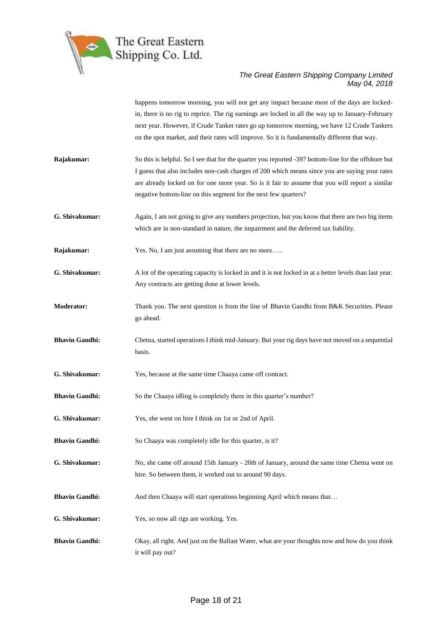

happens tomorrow morning, you will not get any impact because most of the days are lockedin, there is no rig to reprice. The rig earnings are locked in all the way up to January-February next year. However, if Crude Tanker rates go up tomorrow morning, we have 12 Crude Tankers on the spot market, and their rates will improve. So it is fundamentally different that way.

- **Rajakumar:** So this is helpful. So I see that for the quarter you reported -397 bottom-line for the offshore but I guess that also includes non-cash charges of 200 which means since you are saying your rates are already locked on for one more year. So is it fair to assume that you will report a similar negative bottom-line on this segment for the next few quarters?
- **G. Shivakumar:** Again, I am not going to give any numbers projection, but you know that there are two big items which are in non-standard in nature, the impairment and the deferred tax liability.
- **Rajakumar:** Yes. No, I am just assuming that there are no more…..
- **G. Shivakumar:** A lot of the operating capacity is locked in and it is not locked in at a better levels than last year. Any contracts are getting done at lower levels.
- **Moderator:** Thank you. The next question is from the line of Bhavin Gandhi from B&K Securities. Please go ahead.
- **Bhavin Gandhi:** Chetna, started operations I think mid-January. But your rig days have not moved on a sequential basis.
- **G. Shivakumar:** Yes, because at the same time Chaaya came off contract.
- **Bhavin Gandhi:** So the Chaaya idling is completely there in this quarter's number?
- **G. Shivakumar:** Yes, she went on hire I think on 1st or 2nd of April.
- **Bhavin Gandhi:** So Chaaya was completely idle for this quarter, is it?
- **G. Shivakumar:** No, she came off around 15th January 20th of January, around the same time Chetna went on hire. So between them, it worked out to around 90 days.
- **Bhavin Gandhi:** And then Chaaya will start operations beginning April which means that...
- **G. Shivakumar:** Yes, so now all rigs are working. Yes.
- **Bhavin Gandhi:** Okay, all right. And just on the Ballast Water, what are your thoughts now and how do you think it will pay out?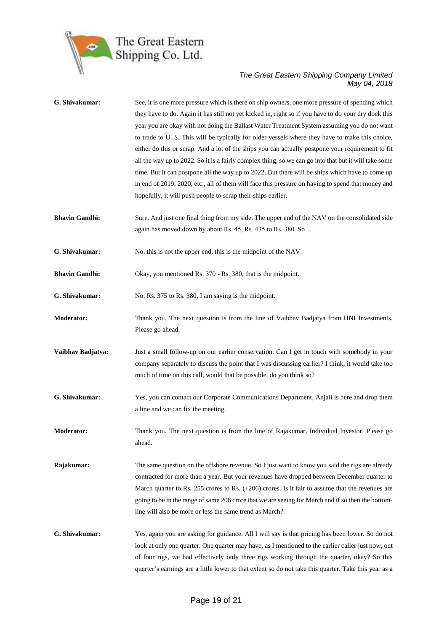

| G. Shivakumar:        | See, it is one more pressure which is there on ship owners, one more pressure of spending which<br>they have to do. Again it has still not yet kicked in, right so if you have to do your dry dock this<br>year you are okay with not doing the Ballast Water Treatment System assuming you do not want<br>to trade to U.S. This will be typically for older vessels where they have to make this choice,<br>either do this or scrap. And a lot of the ships you can actually postpone your requirement to fit<br>all the way up to 2022. So it is a fairly complex thing, so we can go into that but it will take some<br>time. But it can postpone all the way up to 2022. But there will be ships which have to come up<br>in end of 2019, 2020, etc., all of them will face this pressure on having to spend that money and<br>hopefully, it will push people to scrap their ships earlier. |
|-----------------------|-------------------------------------------------------------------------------------------------------------------------------------------------------------------------------------------------------------------------------------------------------------------------------------------------------------------------------------------------------------------------------------------------------------------------------------------------------------------------------------------------------------------------------------------------------------------------------------------------------------------------------------------------------------------------------------------------------------------------------------------------------------------------------------------------------------------------------------------------------------------------------------------------|
| <b>Bhavin Gandhi:</b> | Sure. And just one final thing from my side. The upper end of the NAV on the consolidated side<br>again has moved down by about Rs. 45, Rs. 435 to Rs. 380. So                                                                                                                                                                                                                                                                                                                                                                                                                                                                                                                                                                                                                                                                                                                                  |
| G. Shivakumar:        | No, this is not the upper end, this is the midpoint of the NAV.                                                                                                                                                                                                                                                                                                                                                                                                                                                                                                                                                                                                                                                                                                                                                                                                                                 |
| <b>Bhavin Gandhi:</b> | Okay, you mentioned Rs. 370 - Rs. 380, that is the midpoint.                                                                                                                                                                                                                                                                                                                                                                                                                                                                                                                                                                                                                                                                                                                                                                                                                                    |
| G. Shivakumar:        | No, Rs. 375 to Rs. 380, I am saying is the midpoint.                                                                                                                                                                                                                                                                                                                                                                                                                                                                                                                                                                                                                                                                                                                                                                                                                                            |
| <b>Moderator:</b>     | Thank you. The next question is from the line of Vaibhav Badjatya from HNI Investments.<br>Please go ahead.                                                                                                                                                                                                                                                                                                                                                                                                                                                                                                                                                                                                                                                                                                                                                                                     |
| Vaibhav Badjatya:     | Just a small follow-up on our earlier conservation. Can I get in touch with somebody in your<br>company separately to discuss the point that I was discussing earlier? I think, it would take too<br>much of time on this call, would that be possible, do you think so?                                                                                                                                                                                                                                                                                                                                                                                                                                                                                                                                                                                                                        |
| G. Shivakumar:        | Yes, you can contact our Corporate Communications Department, Anjali is here and drop them<br>a line and we can fix the meeting.                                                                                                                                                                                                                                                                                                                                                                                                                                                                                                                                                                                                                                                                                                                                                                |
| <b>Moderator:</b>     | Thank you. The next question is from the line of Rajakumar, Individual Investor. Please go<br>ahead.                                                                                                                                                                                                                                                                                                                                                                                                                                                                                                                                                                                                                                                                                                                                                                                            |
| Rajakumar:            | The same question on the offshore revenue. So I just want to know you said the rigs are already<br>contracted for more than a year. But your revenues have dropped between December quarter to<br>March quarter to Rs. $255$ crores to Rs. $(+206)$ crores. Is it fair to assume that the revenues are<br>going to be in the range of same 206 crore that we are seeing for March and if so then the bottom-<br>line will also be more or less the same trend as March?                                                                                                                                                                                                                                                                                                                                                                                                                         |
| G. Shivakumar:        | Yes, again you are asking for guidance. All I will say is that pricing has been lower. So do not<br>look at only one quarter. One quarter may have, as I mentioned to the earlier caller just now, out<br>of four rigs, we had effectively only three rigs working through the quarter, okay? So this<br>quarter's earnings are a little lower to that extent so do not take this quarter. Take this year as a                                                                                                                                                                                                                                                                                                                                                                                                                                                                                  |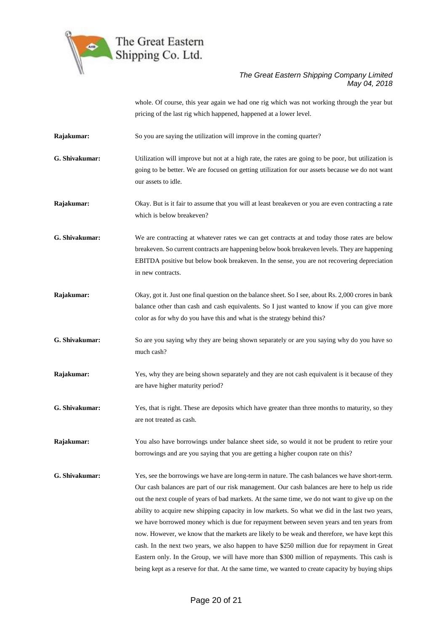

whole. Of course, this year again we had one rig which was not working through the year but pricing of the last rig which happened, happened at a lower level.

- **Rajakumar:** So you are saying the utilization will improve in the coming quarter?
- **G. Shivakumar:** Utilization will improve but not at a high rate, the rates are going to be poor, but utilization is going to be better. We are focused on getting utilization for our assets because we do not want our assets to idle.
- **Rajakumar:** Okay. But is it fair to assume that you will at least breakeven or you are even contracting a rate which is below breakeven?
- **G. Shivakumar:** We are contracting at whatever rates we can get contracts at and today those rates are below breakeven. So current contracts are happening below book breakeven levels. They are happening EBITDA positive but below book breakeven. In the sense, you are not recovering depreciation in new contracts.
- **Rajakumar:** Okay, got it. Just one final question on the balance sheet. So I see, about Rs. 2,000 crores in bank balance other than cash and cash equivalents. So I just wanted to know if you can give more color as for why do you have this and what is the strategy behind this?
- **G. Shivakumar:** So are you saying why they are being shown separately or are you saying why do you have so much cash?
- **Rajakumar:** Yes, why they are being shown separately and they are not cash equivalent is it because of they are have higher maturity period?
- **G. Shivakumar:** Yes, that is right. These are deposits which have greater than three months to maturity, so they are not treated as cash.

**Rajakumar:** You also have borrowings under balance sheet side, so would it not be prudent to retire your borrowings and are you saying that you are getting a higher coupon rate on this?

**G. Shivakumar:** Yes, see the borrowings we have are long-term in nature. The cash balances we have short-term. Our cash balances are part of our risk management. Our cash balances are here to help us ride out the next couple of years of bad markets. At the same time, we do not want to give up on the ability to acquire new shipping capacity in low markets. So what we did in the last two years, we have borrowed money which is due for repayment between seven years and ten years from now. However, we know that the markets are likely to be weak and therefore, we have kept this cash. In the next two years, we also happen to have \$250 million due for repayment in Great Eastern only. In the Group, we will have more than \$300 million of repayments. This cash is being kept as a reserve for that. At the same time, we wanted to create capacity by buying ships